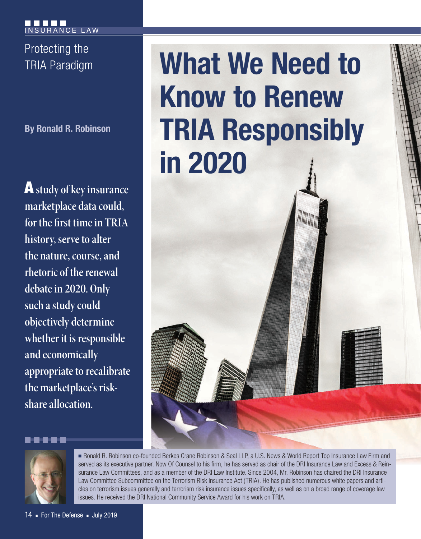Protecting the

**By Ronald R. Robinson**

A **study of key insurance marketplace data could, for the first time in TRIA history, serve to alter the nature, course, and rhetoric of the renewal debate in 2020. Only such a study could objectively determine whether it is responsible and economically appropriate to recalibrate the marketplace's riskshare allocation.**

# TRIA Paradigm **What We Need to Know to Renew TRIA Responsibly in 2020**



■ Ronald R. Robinson co-founded Berkes Crane Robinson & Seal LLP, a U.S. News & World Report Top Insurance Law Firm and served as its executive partner. Now Of Counsel to his firm, he has served as chair of the DRI Insurance Law and Excess & Reinsurance Law Committees, and as a member of the DRI Law Institute. Since 2004, Mr. Robinson has chaired the DRI Insurance Law Committee Subcommittee on the Terrorism Risk Insurance Act (TRIA). He has published numerous white papers and articles on terrorism issues generally and terrorism risk insurance issues specifically, as well as on a broad range of coverage law issues. He received the DRI National Community Service Award for his work on TRIA.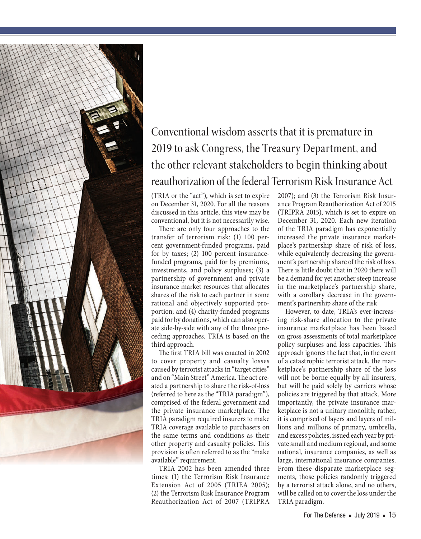

# Conventional wisdom asserts that it is premature in 2019 to ask Congress, the Treasury Department, and the other relevant stakeholders to begin thinking about reauthorization of the federal Terrorism Risk Insurance Act

(TRIA or the "act"), which is set to expire on December 31, 2020. For all the reasons discussed in this article, this view may be conventional, but it is not necessarily wise.

There are only four approaches to the transfer of terrorism risk: (1) 100 percent government-funded programs, paid for by taxes; (2) 100 percent insurancefunded programs, paid for by premiums, investments, and policy surpluses; (3) a partnership of government and private insurance market resources that allocates shares of the risk to each partner in some rational and objectively supported proportion; and (4) charity-funded programs paid for by donations, which can also operate side-by-side with any of the three preceding approaches. TRIA is based on the third approach.

The first TRIA bill was enacted in 2002 to cover property and casualty losses caused by terrorist attacks in "target cities" and on "Main Street" America. The act created a partnership to share the risk-of-loss (referred to here as the "TRIA paradigm"), comprised of the federal government and the private insurance marketplace. The TRIA paradigm required insurers to make TRIA coverage available to purchasers on the same terms and conditions as their other property and casualty policies. This provision is often referred to as the "make available" requirement.

TRIA 2002 has been amended three times: (1) the Terrorism Risk Insurance Extension Act of 2005 (TRIEA 2005); (2) the Terrorism Risk Insurance Program Reauthorization Act of 2007 (TRIPRA

2007); and (3) the Terrorism Risk Insurance Program Reauthorization Act of 2015 (TRIPRA 2015), which is set to expire on December 31, 2020. Each new iteration of the TRIA paradigm has exponentially increased the private insurance marketplace's partnership share of risk of loss, while equivalently decreasing the government's partnership share of the risk of loss. There is little doubt that in 2020 there will be a demand for yet another steep increase in the marketplace's partnership share, with a corollary decrease in the government's partnership share of the risk

However, to date, TRIA's ever-increasing risk-share allocation to the private insurance marketplace has been based on gross assessments of total marketplace policy surpluses and loss capacities. This approach ignores the fact that, in the event of a catastrophic terrorist attack, the marketplace's partnership share of the loss will not be borne equally by all insurers, but will be paid solely by carriers whose policies are triggered by that attack. More importantly, the private insurance marketplace is not a unitary monolith; rather, it is comprised of layers and layers of millions and millions of primary, umbrella, and excess policies, issued each year by private small and medium regional, and some national, insurance companies, as well as large, international insurance companies. From these disparate marketplace segments, those policies randomly triggered by a terrorist attack alone, and no others, will be called on to cover the loss under the TRIA paradigm.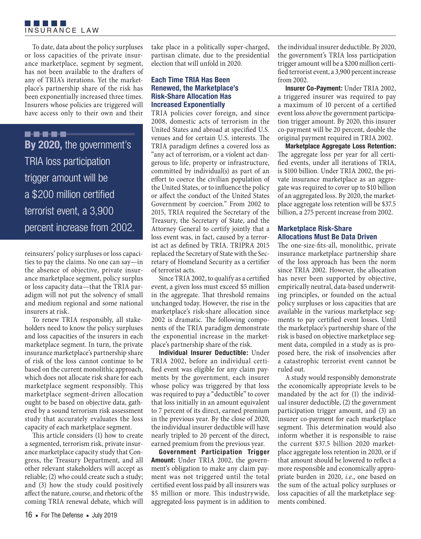To date, data about the policy surpluses or loss capacities of the private insurance marketplace, segment by segment, has not been available to the drafters of any of TRIA's iterations. Yet the marketplace's partnership share of the risk has been exponentially increased three times. Insurers whose policies are triggered will have access only to their own and their

..... **By 2020,** the government's TRIA loss participation trigger amount will be a \$200 million certified terrorist event, a 3,900 percent increase from 2002.

reinsurers' policy surpluses or loss capacities to pay the claims. No one can say—in the absence of objective, private insurance marketplace segment, policy surplus or loss capacity data—that the TRIA paradigm will not put the solvency of small and medium regional and some national insurers at risk.

To renew TRIA responsibly, all stakeholders need to know the policy surpluses and loss capacities of the insurers in each marketplace segment. In turn, the private insurance marketplace's partnership share of risk of the loss cannot continue to be based on the current monolithic approach, which does not allocate risk share for each marketplace segment responsibly. This marketplace segment-driven allocation ought to be based on objective data, gathered by a sound terrorism risk assessment study that accurately evaluates the loss capacity of each marketplace segment.

This article considers (1) how to create a segmented, terrorism risk, private insurance marketplace capacity study that Congress, the Treasury Department, and all other relevant stakeholders will accept as reliable; (2) who could create such a study; and (3) how the study could positively affect the nature, course, and rhetoric of the coming TRIA renewal debate, which will

take place in a politically super-charged, partisan climate, due to the presidential election that will unfold in 2020.

## **Each Time TRIA Has Been Renewed, the Marketplace's Risk-Share Allocation Has Increased Exponentially**

TRIA policies cover foreign, and since 2008, domestic acts of terrorism in the United States and abroad at specified U.S. venues and for certain U.S. interests. The TRIA paradigm defines a covered loss as "any act of terrorism, or a violent act dangerous to life, property or infrastructure, committed by individual(s) as part of an effort to coerce the civilian population of the United States, or to influence the policy or affect the conduct of the United States Government by coercion." From 2002 to 2015, TRIA required the Secretary of the Treasury, the Secretary of State, and the Attorney General to certify jointly that a loss event was, in fact, caused by a terrorist act as defined by TRIA. TRIPRA 2015 replaced the Secretary of State with the Secretary of Homeland Security as a certifier of terrorist acts.

Since TRIA 2002, to qualify as a certified event, a given loss must exceed \$5 million in the aggregate. That threshold remains unchanged today. However, the rise in the marketplace's risk-share allocation since 2002 is dramatic. The following components of the TRIA paradigm demonstrate the exponential increase in the marketplace's partnership share of the risk.

**Individual Insurer Deductible:** Under TRIA 2002, before an individual certi fied event was eligible for any claim payments by the government, each insurer whose policy was triggered by that loss was required to pay a "deductible" to cover that loss initially in an amount equivalent to 7 percent of its direct, earned premium in the previous year. By the close of 2020, the individual insurer deductible will have nearly tripled to 20 percent of the direct, earned premium from the previous year.

**Government Participation Trigger Amount:** Under TRIA 2002, the government's obligation to make any claim payment was not triggered until the total certified event loss paid by all insurers was \$5 million or more. This industrywide, aggregated-loss payment is in addition to

the individual insurer deductible. By 2020, the government's TRIA loss participation trigger amount will be a \$200 million certi fied terrorist event, a 3,900 percent increase from 2002.

**Insurer Co-Payment:** Under TRIA 2002, a triggered insurer was required to pay a maximum of 10 percent of a certified event loss *above* the government participation trigger amount. By 2020, this insurer co-payment will be 20 percent, double the original payment required in TRIA 2002.

**Marketplace Aggregate Loss Retention:**  The aggregate loss per year for all certified events, under all iterations of TRIA, is \$100 billion. Under TRIA 2002, the private insurance marketplace as an aggregate was required to cover up to \$10 billion of an aggregated loss. By 2020, the marketplace aggregate loss retention will be \$37.5 billion, a 275 percent increase from 2002.

# **Marketplace Risk-Share Allocations Must Be Data Driven**

The one-size-fits-all, monolithic, private insurance marketplace partnership share of the loss approach has been the norm since TRIA 2002. However, the allocation has never been supported by objective, empirically neutral, data-based underwriting principles, or founded on the actual policy surpluses or loss capacities that are available in the various marketplace segments to pay certified event losses. Until the marketplace's partnership share of the risk is based on objective marketplace segment data, compiled in a study as is proposed here, the risk of insolvencies after a catastrophic terrorist event cannot be ruled out.

A study would responsibly demonstrate the economically appropriate levels to be mandated by the act for (1) the individual insurer deductible, (2) the government participation trigger amount, and (3) an insurer co-payment for each marketplace segment. This determination would also inform whether it is responsible to raise the current \$37.5 billion 2020 marketplace aggregate loss retention in 2020, or if that amount should be lowered to reflect a more responsible and economically appropriate burden in 2020, *i.e.*, one based on the sum of the actual policy surpluses or loss capacities of all the marketplace segments combined.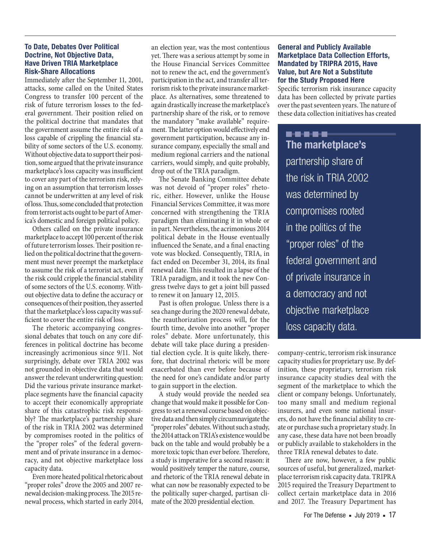#### **To Date, Debates Over Political Doctrine, Not Objective Data, Have Driven TRIA Marketplace Risk-Share Allocations**

Immediately after the September 11, 2001, attacks, some called on the United States Congress to transfer 100 percent of the risk of future terrorism losses to the federal government. Their position relied on the political doctrine that mandates that the government assume the entire risk of a loss capable of crippling the financial stability of some sectors of the U.S. economy. Without objective data to support their position, some argued that the private insurance marketplace's loss capacity was insufficient to cover any part of the terrorism risk, relying on an assumption that terrorism losses cannot be underwritten at any level of risk of loss. Thus, some concluded that protection from terrorist acts ought to be part of America's domestic and foreign political policy.

Others called on the private insurance marketplace to accept 100 percent of the risk of future terrorism losses. Their position relied on the political doctrine that the government must never preempt the marketplace to assume the risk of a terrorist act, even if the risk could cripple the financial stability of some sectors of the U.S. economy. Without objective data to define the accuracy or consequences of their position, they asserted that the marketplace's loss capacity was suf ficient to cover the entire risk of loss.

The rhetoric accompanying congressional debates that touch on any core differences in political doctrine has become increasingly acrimonious since 9/11. Not surprisingly, debate over TRIA 2002 was not grounded in objective data that would answer the relevant underwriting question: Did the various private insurance marketplace segments have the financial capacity to accept their economically appropriate share of this catastrophic risk responsibly? The marketplace's partnership share of the risk in TRIA 2002 was determined by compromises rooted in the politics of the "proper roles" of the federal government and of private insurance in a democracy, and not objective marketplace loss capacity data.

Even more heated political rhetoric about "proper roles" drove the 2005 and 2007 renewal decision-making process. The 2015 renewal process, which started in early 2014,

an election year, was the most contentious yet. There was a serious attempt by some in the House Financial Services Committee not to renew the act, end the government's participation in the act, and transfer all terrorism risk to the private insurance marketplace. As alternatives, some threatened to again drastically increase the marketplace's partnership share of the risk, or to remove the mandatory "make available" requirement. The latter option would effectively end government participation, because any insurance company, especially the small and medium regional carriers and the national carriers, would simply, and quite probably, drop out of the TRIA paradigm.

The Senate Banking Committee debate was not devoid of "proper roles" rhetoric, either. However, unlike the House Financial Services Committee, it was more concerned with strengthening the TRIA paradigm than eliminating it in whole or in part. Nevertheless, the acrimonious 2014 political debate in the House eventually influenced the Senate, and a final enacting vote was blocked. Consequently, TRIA, in fact ended on December 31, 2014, its final renewal date. This resulted in a lapse of the TRIA paradigm, and it took the new Congress twelve days to get a joint bill passed to renew it on January 12, 2015.

Past is often prologue. Unless there is a sea change during the 2020 renewal debate, the reauthorization process will, for the fourth time, devolve into another "proper roles" debate. More unfortunately, this debate will take place during a presidential election cycle. It is quite likely, therefore, that doctrinal rhetoric will be more exacerbated than ever before because of the need for one's candidate and/or party to gain support in the election.

A study would provide the needed sea change that would make it possible for Congress to set a renewal course based on objective data and then simply circumnavigate the "proper roles" debates. Without such a study, the 2014 attack on TRIA's existence would be back on the table and would probably be a more toxic topic than ever before. Therefore, a study is imperative for a second reason: it would positively temper the nature, course, and rhetoric of the TRIA renewal debate in what can now be reasonably expected to be the politically super-charged, partisan climate of the 2020 presidential election.

## **General and Publicly Available Marketplace Data Collection Efforts, Mandated by TRIPRA 2015, Have Value, but Are Not a Substitute for the Study Proposed Here**

Specific terrorism risk insurance capacity data has been collected by private parties over the past seventeen years. The nature of these data collection initiatives has created

<u>. . . . . .</u> **The marketplace's**  partnership share of the risk in TRIA 2002 was determined by compromises rooted in the politics of the "proper roles" of the federal government and of private insurance in a democracy and not objective marketplace loss capacity data.

company-centric, terrorism risk insurance capacity studies for proprietary use. By definition, these proprietary, terrorism risk insurance capacity studies deal with the segment of the marketplace to which the client or company belongs. Unfortunately, too many small and medium regional insurers, and even some national insurers, do not have the financial ability to create or purchase such a proprietary study. In any case, these data have not been broadly or publicly available to stakeholders in the three TRIA renewal debates to date.

There are now, however, a few public sources of useful, but generalized, marketplace terrorism risk capacity data. TRIPRA 2015 required the Treasury Department to collect certain marketplace data in 2016 and 2017. The Treasury Department has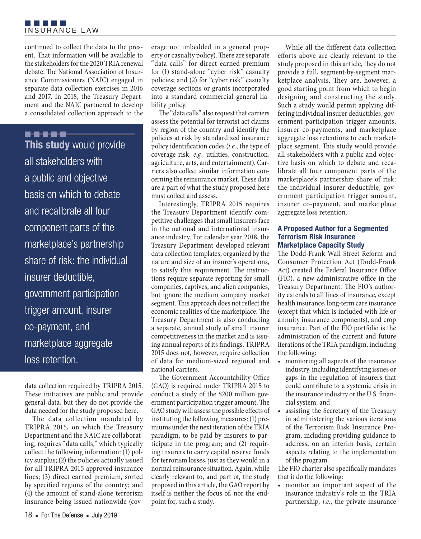

continued to collect the data to the present. That information will be available to the stakeholders for the 2020 TRIA renewal debate. The National Association of Insurance Commissioners (NAIC) engaged in separate data collection exercises in 2016 and 2017. In 2018, the Treasury Department and the NAIC partnered to develop a consolidated collection approach to the

# -----

**This study** would provide all stakeholders with a public and objective basis on which to debate and recalibrate all four component parts of the marketplace's partnership share of risk: the individual insurer deductible, government participation trigger amount, insurer co-payment, and marketplace aggregate loss retention.

data collection required by TRIPRA 2015. These initiatives are public and provide general data, but they do not provide the data needed for the study proposed here.

The data collection mandated by TRIPRA 2015, on which the Treasury Department and the NAIC are collaborating, requires "data calls," which typically collect the following information: (1) policy surplus; (2) the policies actually issued for all TRIPRA 2015 approved insurance lines; (3) direct earned premium, sorted by specified regions of the country; and (4) the amount of stand-alone terrorism insurance being issued nationwide (coverage not imbedded in a general property or casualty policy). There are separate "data calls" for direct earned premium for (1) stand-alone "cyber risk" casualty policies; and (2) for "cyber risk" casualty coverage sections or grants incorporated into a standard commercial general liability policy.

The "data calls" also request that carriers assess the potential for terrorist act claims by region of the country and identify the policies at risk by standardized insurance policy identification codes (*i.e.*, the type of coverage risk, *e.g.*, utilities, construction, agriculture, arts, and entertainment). Carriers also collect similar information concerning the reinsurance market. These data are a part of what the study proposed here must collect and assess.

Interestingly, TRIPRA 2015 requires the Treasury Department identify competitive challenges that small insurers face in the national and international insurance industry. For calendar year 2018, the Treasury Department developed relevant data collection templates, organized by the nature and size of an insurer's operations, to satisfy this requirement. The instructions require separate reporting for small companies, captives, and alien companies, but ignore the medium company market segment. This approach does not reflect the economic realities of the marketplace. The Treasury Department is also conducting a separate, annual study of small insurer competitiveness in the market and is issuing annual reports of its findings. TRIPRA 2015 does not, however, require collection of data for medium-sized regional and national carriers.

The Government Accountability Office (GAO) is required under TRIPRA 2015 to conduct a study of the \$200 million government participation trigger amount. The GAO study will assess the possible effects of instituting the following measures: (1) premiums under the next iteration of the TRIA paradigm, to be paid by insurers to participate in the program; and (2) requiring insurers to carry capital reserve funds for terrorism losses, just as they would in a normal reinsurance situation. Again, while clearly relevant to, and part of, the study proposed in this article, the GAO report by itself is neither the focus of, nor the endpoint for, such a study.

While all the different data collection efforts above are clearly relevant to the study proposed in this article, they do not provide a full, segment-by-segment marketplace analysis. They are, however, a good starting point from which to begin designing and constructing the study. Such a study would permit applying differing individual insurer deductibles, government participation trigger amounts, insurer co-payments, and marketplace aggregate loss retentions to each marketplace segment. This study would provide all stakeholders with a public and objective basis on which to debate and recalibrate all four component parts of the marketplace's partnership share of risk: the individual insurer deductible, government participation trigger amount, insurer co-payment, and marketplace aggregate loss retention.

#### **A Proposed Author for a Segmented Terrorism Risk Insurance Marketplace Capacity Study**

The Dodd-Frank Wall Street Reform and Consumer Protection Act (Dodd-Frank Act) created the Federal Insurance Office (FIO), a new administrative office in the Treasury Department. The FIO's authority extends to all lines of insurance, except health insurance, long-term care insurance (except that which is included with life or annuity insurance components), and crop insurance. Part of the FIO portfolio is the administration of the current and future iterations of the TRIA paradigm, including the following:

- monitoring all aspects of the insurance industry, including identifying issues or gaps in the regulation of insurers that could contribute to a systemic crisis in the insurance industry or the U.S. financial system; and
- assisting the Secretary of the Treasury in administering the various iterations of the Terrorism Risk Insurance Program, including providing guidance to address, on an interim basis, certain aspects relating to the implementation of the program.

The FIO charter also specifically mandates that it do the following:

• monitor an important aspect of the insurance industry's role in the TRIA partnership, *i.e.*, the private insurance